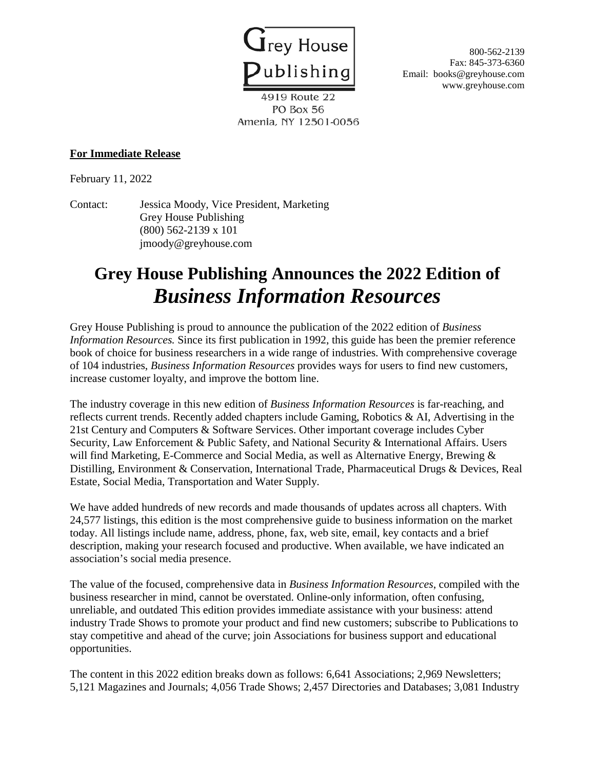

Fax: 845-373-6360 Email: books@greyhouse.com www.greyhouse.com

4919 Route 22 PO Box 56 Amenia, NY 12501-0056

## **For Immediate Release**

February 11, 2022

Contact: Jessica Moody, Vice President, Marketing Grey House Publishing (800) 562-2139 x 101 jmoody@greyhouse.com

## **Grey House Publishing Announces the 2022 Edition of**  *Business Information Resources*

Grey House Publishing is proud to announce the publication of the 2022 edition of *Business Information Resources.* Since its first publication in 1992, this guide has been the premier reference book of choice for business researchers in a wide range of industries. With comprehensive coverage of 104 industries, *Business Information Resources* provides ways for users to find new customers, increase customer loyalty, and improve the bottom line.

The industry coverage in this new edition of *Business Information Resources* is far-reaching, and reflects current trends. Recently added chapters include Gaming, Robotics & AI, Advertising in the 21st Century and Computers & Software Services. Other important coverage includes Cyber Security, Law Enforcement & Public Safety, and National Security & International Affairs. Users will find Marketing, E-Commerce and Social Media, as well as Alternative Energy, Brewing & Distilling, Environment & Conservation, International Trade, Pharmaceutical Drugs & Devices, Real Estate, Social Media, Transportation and Water Supply.

We have added hundreds of new records and made thousands of updates across all chapters. With 24,577 listings, this edition is the most comprehensive guide to business information on the market today. All listings include name, address, phone, fax, web site, email, key contacts and a brief description, making your research focused and productive. When available, we have indicated an association's social media presence.

The value of the focused, comprehensive data in *Business Information Resources*, compiled with the business researcher in mind, cannot be overstated. Online-only information, often confusing, unreliable, and outdated This edition provides immediate assistance with your business: attend industry Trade Shows to promote your product and find new customers; subscribe to Publications to stay competitive and ahead of the curve; join Associations for business support and educational opportunities.

The content in this 2022 edition breaks down as follows: 6,641 Associations; 2,969 Newsletters; 5,121 Magazines and Journals; 4,056 Trade Shows; 2,457 Directories and Databases; 3,081 Industry